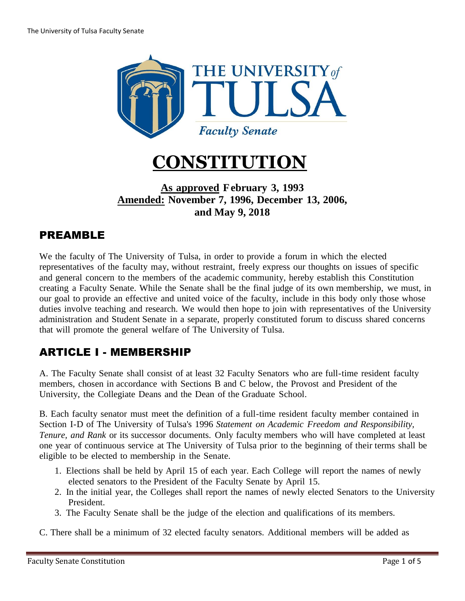



#### **As approved February 3, 1993 Amended: [November](http://www.utulsa.edu/facultysenate/constitution1996.htm) 7, 1996, December 13, 2006, and May 9, 2018**

### PREAMBLE

We the faculty of The University of Tulsa, in order to provide a forum in which the elected representatives of the faculty may, without restraint, freely express our thoughts on issues of specific and general concern to the members of the academic community, hereby establish this Constitution creating a Faculty Senate. While the Senate shall be the final judge of its own membership, we must, in our goal to provide an effective and united voice of the faculty, include in this body only those whose duties involve teaching and research. We would then hope to join with representatives of the University administration and Student Senate in a separate, properly constituted forum to discuss shared concerns that will promote the general welfare of The University of Tulsa.

## ARTICLE I - MEMBERSHIP

A. The Faculty Senate shall consist of at least 32 Faculty Senators who are full-time resident faculty members, chosen in accordance with Sections B and C below, the Provost and President of the University, the Collegiate Deans and the Dean of the Graduate School.

B. Each faculty senator must meet the definition of a full-time resident faculty member contained in Section I-D of The University of Tulsa's 1996 *Statement on Academic Freedom and Responsibility, Tenure, and Rank* or its successor documents. Only faculty members who will have completed at least one year of continuous service at The University of Tulsa prior to the beginning of their terms shall be eligible to be elected to membership in the Senate.

- 1. Elections shall be held by April 15 of each year. Each College will report the names of newly elected senators to the President of the Faculty Senate by April 15.
- 2. In the initial year, the Colleges shall report the names of newly elected Senators to the University President.
- 3. The Faculty Senate shall be the judge of the election and qualifications of its members.

C. There shall be a minimum of 32 elected faculty senators. Additional members will be added as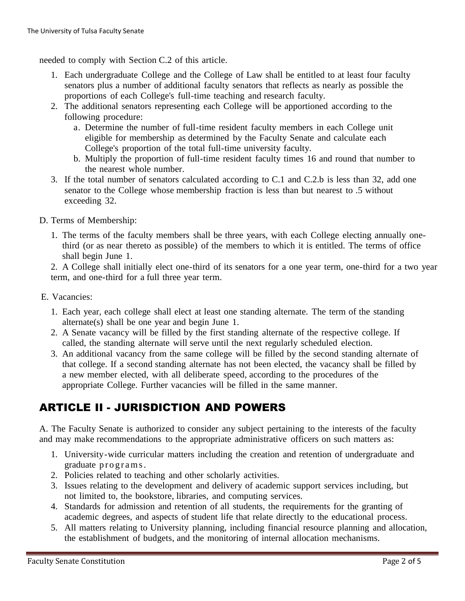needed to comply with Section C.2 of this article.

- 1. Each undergraduate College and the College of Law shall be entitled to at least four faculty senators plus a number of additional faculty senators that reflects as nearly as possible the proportions of each College's full-time teaching and research faculty.
- 2. The additional senators representing each College will be apportioned according to the following procedure:
	- a. Determine the number of full-time resident faculty members in each College unit eligible for membership as determined by the Faculty Senate and calculate each College's proportion of the total full-time university faculty.
	- b. Multiply the proportion of full-time resident faculty times 16 and round that number to the nearest whole number.
- 3. If the total number of senators calculated according to C.1 and C.2.b is less than 32, add one senator to the College whose membership fraction is less than but nearest to .5 without exceeding 32.
- D. Terms of Membership:
	- 1. The terms of the faculty members shall be three years, with each College electing annually onethird (or as near thereto as possible) of the members to which it is entitled. The terms of office shall begin June 1.

2. A College shall initially elect one-third of its senators for a one year term, one-third for a two year term, and one-third for a full three year term.

- E. Vacancies:
	- 1. Each year, each college shall elect at least one standing alternate. The term of the standing alternate(s) shall be one year and begin June 1.
	- 2. A Senate vacancy will be filled by the first standing alternate of the respective college. If called, the standing alternate will serve until the next regularly scheduled election.
	- 3. An additional vacancy from the same college will be filled by the second standing alternate of that college. If a second standing alternate has not been elected, the vacancy shall be filled by a new member elected, with all deliberate speed, according to the procedures of the appropriate College. Further vacancies will be filled in the same manner.

### ARTICLE II - JURISDICTION AND POWERS

A. The Faculty Senate is authorized to consider any subject pertaining to the interests of the faculty and may make recommendations to the appropriate administrative officers on such matters as:

- 1. University-wide curricular matters including the creation and retention of undergraduate and graduate programs.
- 2. Policies related to teaching and other scholarly activities.
- 3. Issues relating to the development and delivery of academic support services including, but not limited to, the bookstore, libraries, and computing services.
- 4. Standards for admission and retention of all students, the requirements for the granting of academic degrees, and aspects of student life that relate directly to the educational process.
- 5. All matters relating to University planning, including financial resource planning and allocation, the establishment of budgets, and the monitoring of internal allocation mechanisms.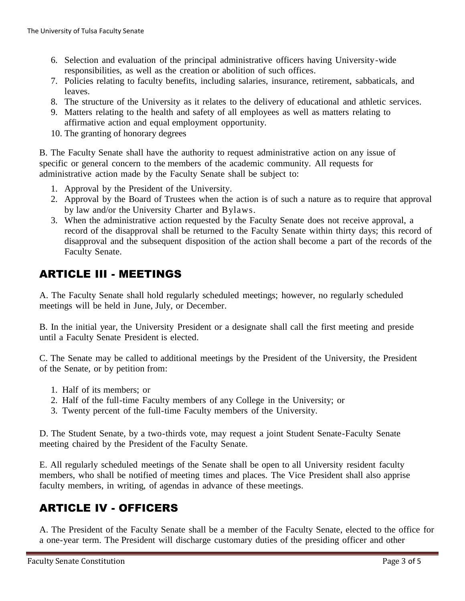- 6. Selection and evaluation of the principal administrative officers having University-wide responsibilities, as well as the creation or abolition of such offices.
- 7. Policies relating to faculty benefits, including salaries, insurance, retirement, sabbaticals, and leaves.
- 8. The structure of the University as it relates to the delivery of educational and athletic services.
- 9. Matters relating to the health and safety of all employees as well as matters relating to affirmative action and equal employment opportunity.
- 10. The granting of honorary degrees

B. The Faculty Senate shall have the authority to request administrative action on any issue of specific or general concern to the members of the academic community. All requests for administrative action made by the Faculty Senate shall be subject to:

- 1. Approval by the President of the University.
- 2. Approval by the Board of Trustees when the action is of such a nature as to require that approval by law and/or the University Charter and Bylaws.
- 3. When the administrative action requested by the Faculty Senate does not receive approval, a record of the disapproval shall be returned to the Faculty Senate within thirty days; this record of disapproval and the subsequent disposition of the action shall become a part of the records of the Faculty Senate.

### ARTICLE III - MEETINGS

A. The Faculty Senate shall hold regularly scheduled meetings; however, no regularly scheduled meetings will be held in June, July, or December.

B. In the initial year, the University President or a designate shall call the first meeting and preside until a Faculty Senate President is elected.

C. The Senate may be called to additional meetings by the President of the University, the President of the Senate, or by petition from:

- 1. Half of its members; or
- 2. Half of the full-time Faculty members of any College in the University; or
- 3. Twenty percent of the full-time Faculty members of the University.

D. The Student Senate, by a two-thirds vote, may request a joint Student Senate-Faculty Senate meeting chaired by the President of the Faculty Senate.

E. All regularly scheduled meetings of the Senate shall be open to all University resident faculty members, who shall be notified of meeting times and places. The Vice President shall also apprise faculty members, in writing, of agendas in advance of these meetings.

### ARTICLE IV - OFFICERS

A. The President of the Faculty Senate shall be a member of the Faculty Senate, elected to the office for a one-year term. The President will discharge customary duties of the presiding officer and other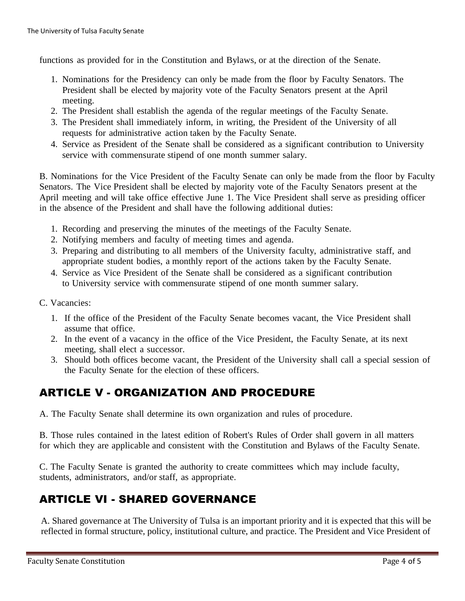functions as provided for in the Constitution and Bylaws, or at the direction of the Senate.

- 1. Nominations for the Presidency can only be made from the floor by Faculty Senators. The President shall be elected by majority vote of the Faculty Senators present at the April meeting.
- 2. The President shall establish the agenda of the regular meetings of the Faculty Senate.
- 3. The President shall immediately inform, in writing, the President of the University of all requests for administrative action taken by the Faculty Senate.
- 4. Service as President of the Senate shall be considered as a significant contribution to University service with commensurate stipend of one month summer salary.

B. Nominations for the Vice President of the Faculty Senate can only be made from the floor by Faculty Senators. The Vice President shall be elected by majority vote of the Faculty Senators present at the April meeting and will take office effective June 1. The Vice President shall serve as presiding officer in the absence of the President and shall have the following additional duties:

- 1. Recording and preserving the minutes of the meetings of the Faculty Senate.
- 2. Notifying members and faculty of meeting times and agenda.
- 3. Preparing and distributing to all members of the University faculty, administrative staff, and appropriate student bodies, a monthly report of the actions taken by the Faculty Senate.
- 4. Service as Vice President of the Senate shall be considered as a significant contribution to University service with commensurate stipend of one month summer salary.
- C. Vacancies:
	- 1. If the office of the President of the Faculty Senate becomes vacant, the Vice President shall assume that office.
	- 2. In the event of a vacancy in the office of the Vice President, the Faculty Senate, at its next meeting, shall elect a successor.
	- 3. Should both offices become vacant, the President of the University shall call a special session of the Faculty Senate for the election of these officers.

## ARTICLE V - ORGANIZATION AND PROCEDURE

A. The Faculty Senate shall determine its own organization and rules of procedure.

B. Those rules contained in the latest edition of Robert's Rules of Order shall govern in all matters for which they are applicable and consistent with the Constitution and Bylaws of the Faculty Senate.

C. The Faculty Senate is granted the authority to create committees which may include faculty, students, administrators, and/or staff, as appropriate.

# ARTICLE VI - SHARED GOVERNANCE

A. Shared governance at The University of Tulsa is an important priority and it is expected that this will be reflected in formal structure, policy, institutional culture, and practice. The President and Vice President of